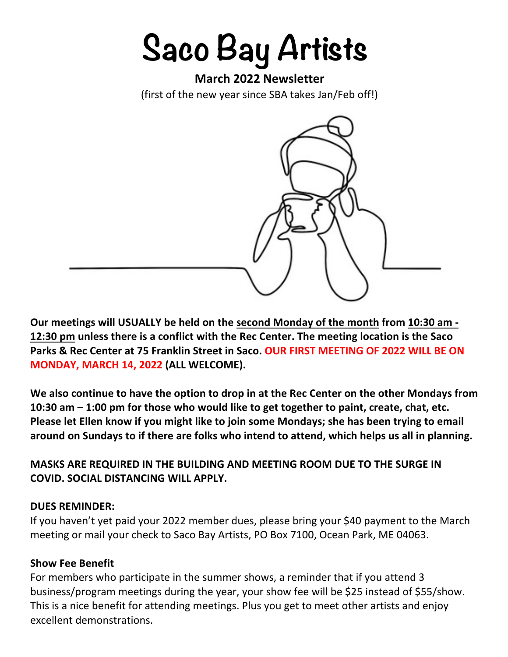# **Saco Bay Artists**

# **March 2022 Newsletter**

(first of the new year since SBA takes Jan/Feb off!)



**Our meetings will USUALLY be held on the second Monday of the month from 10:30 am - 12:30 pm unless there is a conflict with the Rec Center. The meeting location is the Saco Parks & Rec Center at 75 Franklin Street in Saco. OUR FIRST MEETING OF 2022 WILL BE ON MONDAY, MARCH 14, 2022 (ALL WELCOME).** 

**We also continue to have the option to drop in at the Rec Center on the other Mondays from 10:30 am – 1:00 pm for those who would like to get together to paint, create, chat, etc. Please let Ellen know if you might like to join some Mondays; she has been trying to email around on Sundays to if there are folks who intend to attend, which helps us all in planning.**

**MASKS ARE REQUIRED IN THE BUILDING AND MEETING ROOM DUE TO THE SURGE IN COVID. SOCIAL DISTANCING WILL APPLY.**

#### **DUES REMINDER:**

If you haven't yet paid your 2022 member dues, please bring your \$40 payment to the March meeting or mail your check to Saco Bay Artists, PO Box 7100, Ocean Park, ME 04063.

#### **Show Fee Benefit**

For members who participate in the summer shows, a reminder that if you attend 3 business/program meetings during the year, your show fee will be \$25 instead of \$55/show. This is a nice benefit for attending meetings. Plus you get to meet other artists and enjoy excellent demonstrations.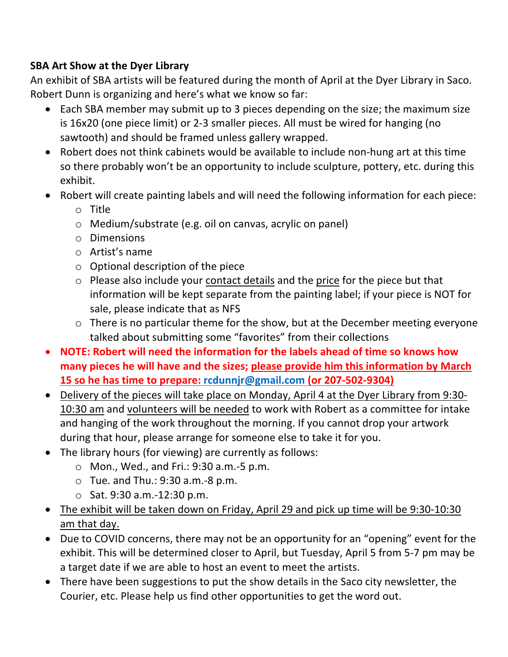# **SBA Art Show at the Dyer Library**

An exhibit of SBA artists will be featured during the month of April at the Dyer Library in Saco. Robert Dunn is organizing and here's what we know so far:

- Each SBA member may submit up to 3 pieces depending on the size; the maximum size is 16x20 (one piece limit) or 2-3 smaller pieces. All must be wired for hanging (no sawtooth) and should be framed unless gallery wrapped.
- Robert does not think cabinets would be available to include non-hung art at this time so there probably won't be an opportunity to include sculpture, pottery, etc. during this exhibit.
- Robert will create painting labels and will need the following information for each piece:
	- o Title
	- o Medium/substrate (e.g. oil on canvas, acrylic on panel)
	- o Dimensions
	- o Artist's name
	- $\circ$  Optional description of the piece
	- o Please also include your contact details and the price for the piece but that information will be kept separate from the painting label; if your piece is NOT for sale, please indicate that as NFS
	- o There is no particular theme for the show, but at the December meeting everyone talked about submitting some "favorites" from their collections
- **NOTE: Robert will need the information for the labels ahead of time so knows how many pieces he will have and the sizes; please provide him this information by March 15 so he has time to prepare: rcdunnjr@gmail.com (or 207-502-9304)**
- Delivery of the pieces will take place on Monday, April 4 at the Dyer Library from 9:30- 10:30 am and volunteers will be needed to work with Robert as a committee for intake and hanging of the work throughout the morning. If you cannot drop your artwork during that hour, please arrange for someone else to take it for you.
- The library hours (for viewing) are currently as follows:
	- o Mon., Wed., and Fri.: 9:30 a.m.-5 p.m.
	- $\circ$  Tue. and Thu.: 9:30 a.m. -8 p.m.
	- o Sat. 9:30 a.m.-12:30 p.m.
- The exhibit will be taken down on Friday, April 29 and pick up time will be 9:30-10:30 am that day.
- Due to COVID concerns, there may not be an opportunity for an "opening" event for the exhibit. This will be determined closer to April, but Tuesday, April 5 from 5-7 pm may be a target date if we are able to host an event to meet the artists.
- There have been suggestions to put the show details in the Saco city newsletter, the Courier, etc. Please help us find other opportunities to get the word out.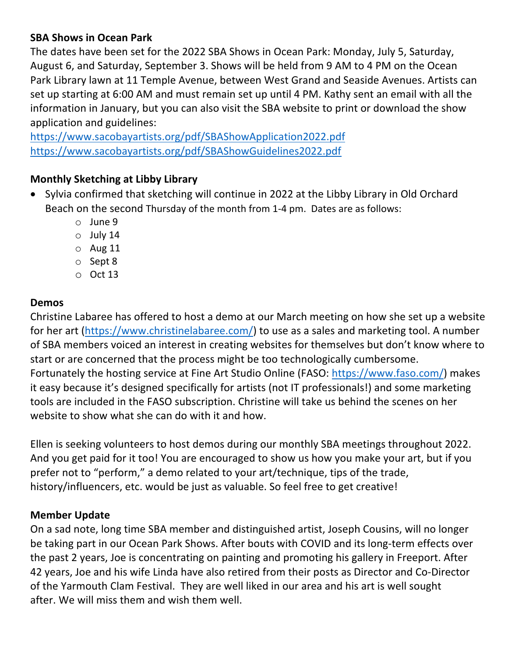# **SBA Shows in Ocean Park**

The dates have been set for the 2022 SBA Shows in Ocean Park: Monday, July 5, Saturday, August 6, and Saturday, September 3. Shows will be held from 9 AM to 4 PM on the Ocean Park Library lawn at 11 Temple Avenue, between West Grand and Seaside Avenues. Artists can set up starting at 6:00 AM and must remain set up until 4 PM. Kathy sent an email with all the information in January, but you can also visit the SBA website to print or download the show application and guidelines:

https://www.sacobayartists.org/pdf/SBAShowApplication2022.pdf https://www.sacobayartists.org/pdf/SBAShowGuidelines2022.pdf

## **Monthly Sketching at Libby Library**

- Sylvia confirmed that sketching will continue in 2022 at the Libby Library in Old Orchard Beach on the second Thursday of the month from 1-4 pm. Dates are as follows:
	- o June 9
	- $\circ$  July 14
	- $O$  Aug 11
	- o Sept 8
	- o Oct 13

## **Demos**

Christine Labaree has offered to host a demo at our March meeting on how she set up a website for her art (https://www.christinelabaree.com/) to use as a sales and marketing tool. A number of SBA members voiced an interest in creating websites for themselves but don't know where to start or are concerned that the process might be too technologically cumbersome. Fortunately the hosting service at Fine Art Studio Online (FASO: https://www.faso.com/) makes it easy because it's designed specifically for artists (not IT professionals!) and some marketing tools are included in the FASO subscription. Christine will take us behind the scenes on her website to show what she can do with it and how.

Ellen is seeking volunteers to host demos during our monthly SBA meetings throughout 2022. And you get paid for it too! You are encouraged to show us how you make your art, but if you prefer not to "perform," a demo related to your art/technique, tips of the trade, history/influencers, etc. would be just as valuable. So feel free to get creative!

#### **Member Update**

On a sad note, long time SBA member and distinguished artist, Joseph Cousins, will no longer be taking part in our Ocean Park Shows. After bouts with COVID and its long-term effects over the past 2 years, Joe is concentrating on painting and promoting his gallery in Freeport. After 42 years, Joe and his wife Linda have also retired from their posts as Director and Co-Director of the Yarmouth Clam Festival. They are well liked in our area and his art is well sought after. We will miss them and wish them well.